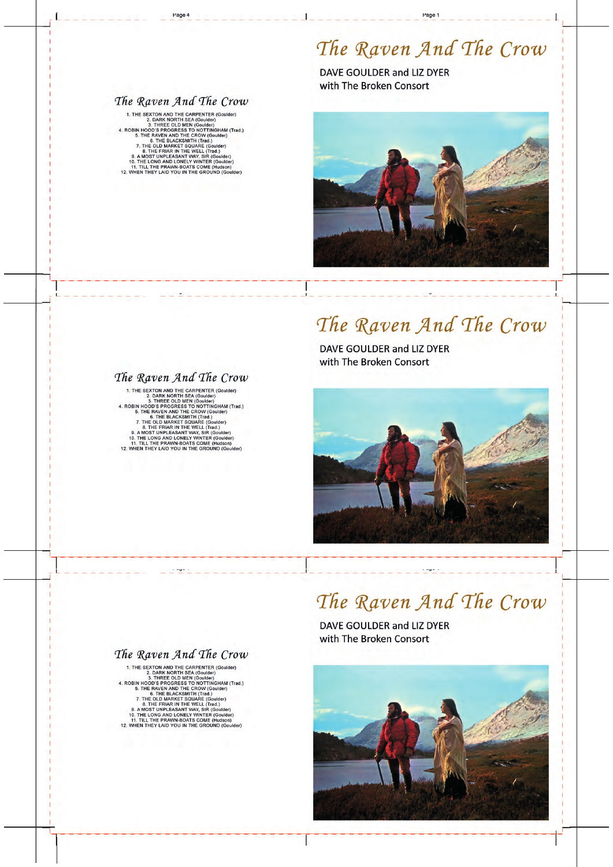# The Raven And The Crow

DAVE GOULDER and LIZ DYER with The Broken Consort

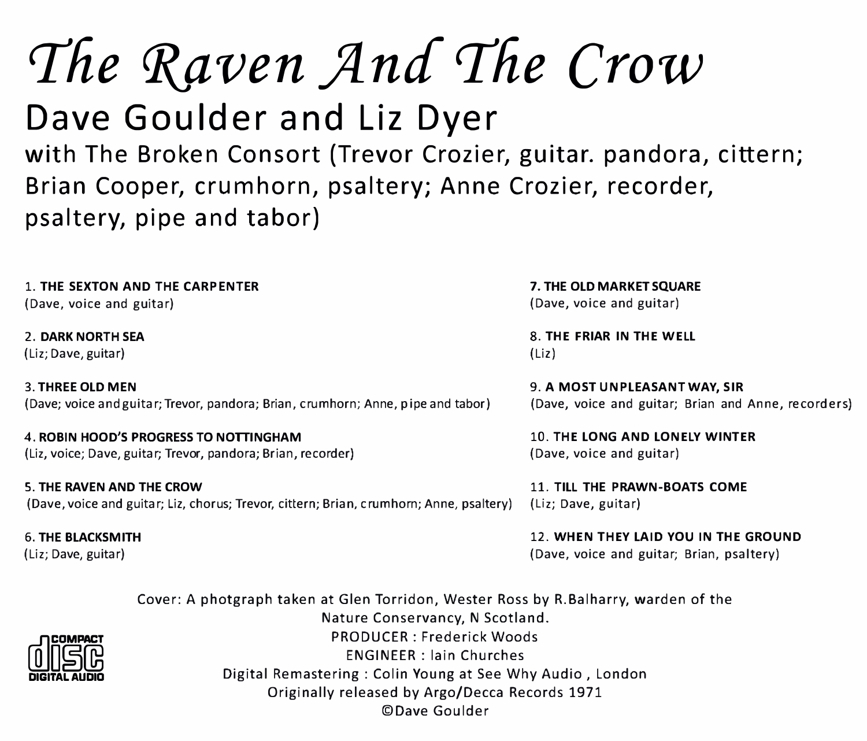# The Raven And The Crow

Dave Goulder and Liz Dyer with The Broken Consort (Trevor Crozier, guitar. pandora, cittern; Brian Cooper, crumhorn, psaltery; Anne Crozier, recorder, psaltery, pipe and tabor)

1. THE SEXTON AND THE CARPENTER 7. THE OLD MARKET SQUARE (Dave, voice and guitar) (Dave, voice and guitar)

(Liz; Cave, guitar) (Liz)

3. THREE OLD MEN 9. A MOST UNPLEASANT WAY, SIR (Dave; voice and guitar; Trevor, pandora; Brian, crumhorn; An ne, pipe and tabor) (Dave, voice and guitar; Brian and Anne, recorders)

4. ROBIN HOOD'S PROGRESS TO NOTTINGHAM 10. THE LONG AND LONELY WINTER (Liz, voice; Dave, guitar; Trevor, pandora; Brian, recorder) (Dave, voice and guitar)

5. THE RAVEN AND THE CROW 11. TILL THE PRAWN-BOATS COME (Dave, voice and guitar; Liz, chorus; Trevor, cittern; Brian, crumhom; Anne, psaltery) (Liz; Dave, guitar)

2. DARK NORTH SEA 8. THE FRIAR IN THE WELL

6. THE BLACKSMITH 12. WHEN THEY LAID YOU IN THE GROUND (Liz; Dave, guitar) (Dave, voice and guitar; Brian, psaltery)

> Cover: A photgraph taken at Glen Torrid on, Wester Ross by R.Balharry, warden of the Nature Conservancy, N Scotland. PRODUCER : Frederick Woods ENGINEER: lain Churches Digital Remastering : Colin Young at See Why Audio, London Originally released by Argo/Decca Records 1971 ©Dave Goulder

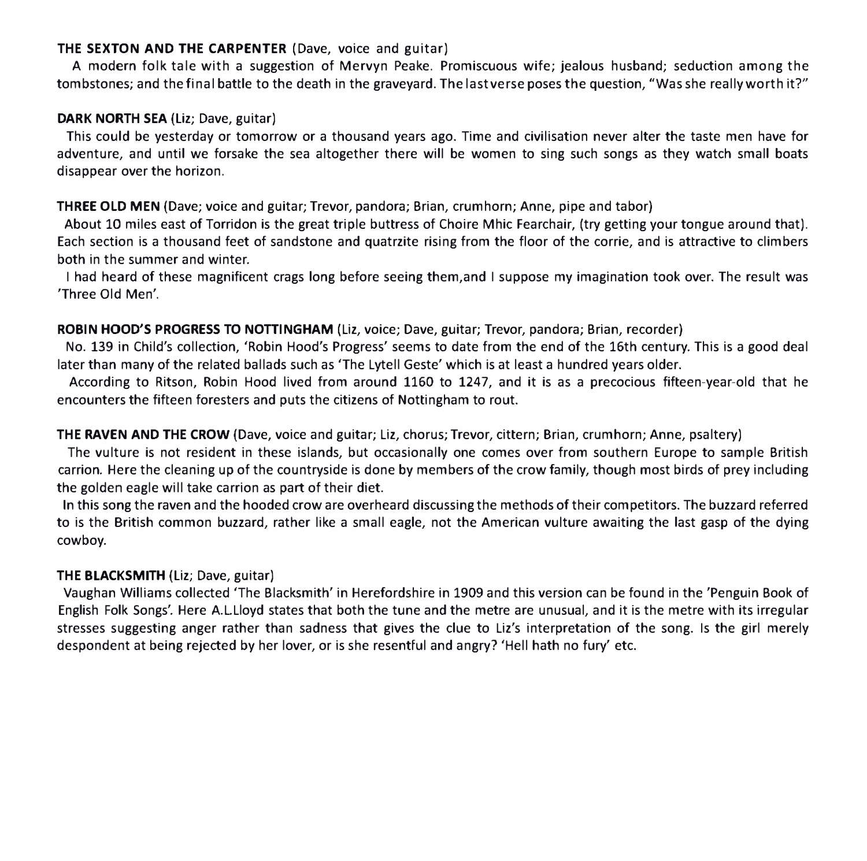#### THE SEXTON AND THE CARPENTER (Dave, voice and guitar)

A modern folk tale with a suggestion of Mervyn Peake. Promiscuous wife; jealous husband; seduction among the tombstones; and the final battle to the death in the graveyard. The last verse poses the question, "Was she really worth it?"

#### DARK NORTH SEA (Liz; Dave, guitar)

This could be yesterday or tomorrow or a thousand years ago. Time and civilisation never alter the taste men have for adventure, and until we forsake the sea altogether there will be women to sing such songs as they watch small boats disappear over the horizon.

#### THREE OLD MEN (Dave; voice and guitar; Trevor, pandora; Brian, crumhorn; Anne, pipe and tabor)

About 10 miles east of Torridon is the great triple buttress of Choire Mhic Fearchair, (try getting your tongue around that). Each section is a thousand feet of sandstone and quatrzite rising from the floor of the corrie, and is attractive to climbers both in the summer and winter.

I had heard of these magnificent crags long before seeing them,and I suppose my imagination took over. The result was 'Three Old Men'.

#### ROBIN HOOD'S PROGRESS TO NOTTINGHAM (Liz, voice; Dave, guitar; Trevor, pandora; Brian, recorder)

No. 139 in Child's collection, 'Robin Hood's Progress' seems to date from the end of the 16th century. This is a good deal later than many of the related ballads such as 'The Lytell Geste' which is at least a hundred years older.

According to Ritson, Robin Hood lived from around 1160 to 1247, and it is as a precocious fifteen-year-old that he encounters the fifteen foresters and puts the citizens of Nottingham to rout.

#### THE RAVEN AND THE CROW (Dave, voice and guitar; Liz, chorus; Trevor, cittern; Brian, crumhorn; Anne, psaltery)

The vulture is not resident in these islands, but occasionally one comes over from southern Europe to sample British carrion. Here the cleaning up of the countryside is done by members of the crow family, though most birds of prey including the golden eagle will take carrion as part of their diet.

In this song the raven and the hooded crow are overheard discussing the methods of their competitors. The buzzard referred to is the British common buzzard, rather like a small eagle, not the American vulture awaiting the last gasp of the dying cowboy.

#### THE BLACKSMITH (Liz; Dave, guitar)

Vaughan Williams collected 'The Blacksmith' in Herefordshire in 1909 and this version can be found in the 'Penguin Book of English Folk Songs'. Here A.L.Uoyd states that both the tune and the metre are unusual, and it is the metre with its irregular stresses suggesting anger rather than sadness that gives the clue to Liz's interpretation of the song. Is the girl merely despondent at being rejected by her lover, or is she resentful and angry? 'Hell hath no fury' etc.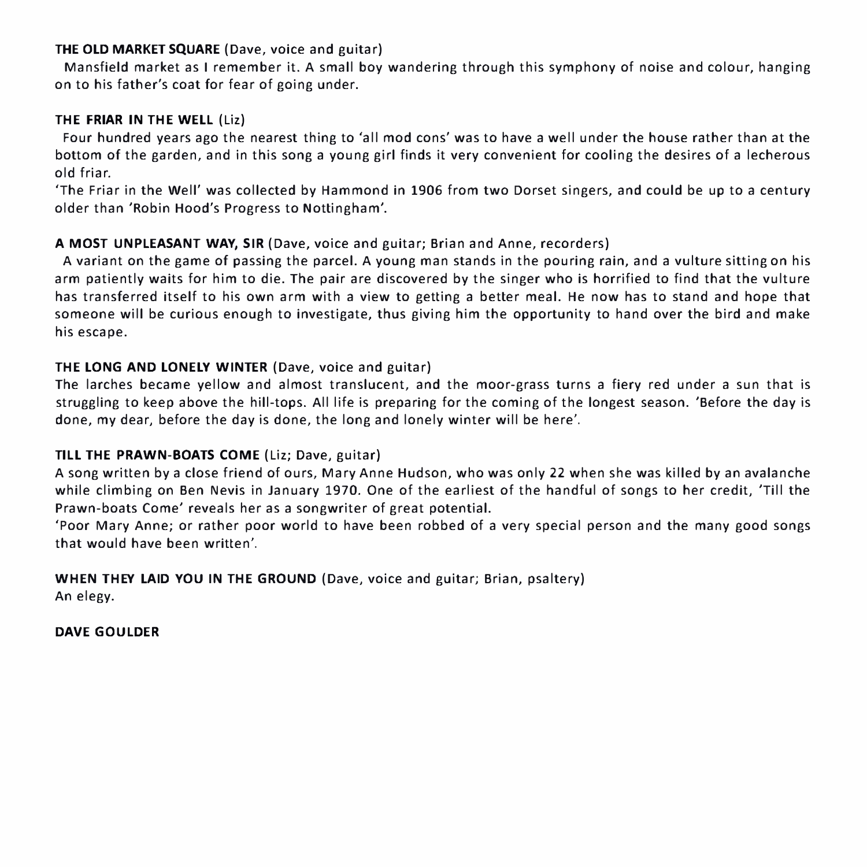#### THE OLD MARKET SQUARE (Dave, voice and guitar)

Mansfield market as I remember it. A small boy wandering through this symphony of noise and colour, hanging on to his father's coat for fear of going under.

#### THE FRIAR IN THE WELL (Liz)

Four hundred years ago the nearest thing to 'all mod cons' was to have a well under the house rather than at the bottom of the garden, and in this song a young girl finds it very convenient for cooling the desires of a lecherous old friar.

'The Friar in the Well' was collected by Hammond in 1906 from two Dorset singers, and could be up to a century older than 'Robin Hood's Progress to Nottingham'.

#### A MOST UNPLEASANT WAY, SIR (Dave, voice and guitar; Brian and Anne, recorders)

A variant on the game of passing the parcel. A young man stands in the pouring rain, and a vulture sitting on his arm patiently waits for him to die. The pair are discovered by the singer who is horrified to find that the vulture has transferred itself to his own arm with a view to getting a better meal. He now has to stand and hope that someone will be curious enough to investigate, thus giving him the opportunity to hand over the bird and make his escape.

#### THE LONG AND LONELY WINTER (Dave, voice and guitar)

The larches became yellow and almost translucent, and the moor-grass turns a fiery red under a sun that is struggling to keep above the hill-tops. All life is preparing for the coming of the longest season. 'Before the day is done, my dear, before the day is done, the long and lonely winter will be here'.

#### TILL THE PRAWN-BOATS COME (liz; Dave, guitar)

A song written by a close friend of ours, Mary An ne Hudson, who was only 22 when she was killed by an avalanche while climbing on Ben Nevis in January 1970. One of the earliest of the handful of songs to her credit, 'Till the Prawn-boats Come' reveals her as a songwriter of great potential.

'Poor Mary An ne; or rather poor world to have been robbed of a very special person and the many good songs that would have been written'.

WHEN THEY LAID YOU IN THE GROUND (Dave, voice and guitar; Brian, psaltery) An elegy.

DAVE GDULDER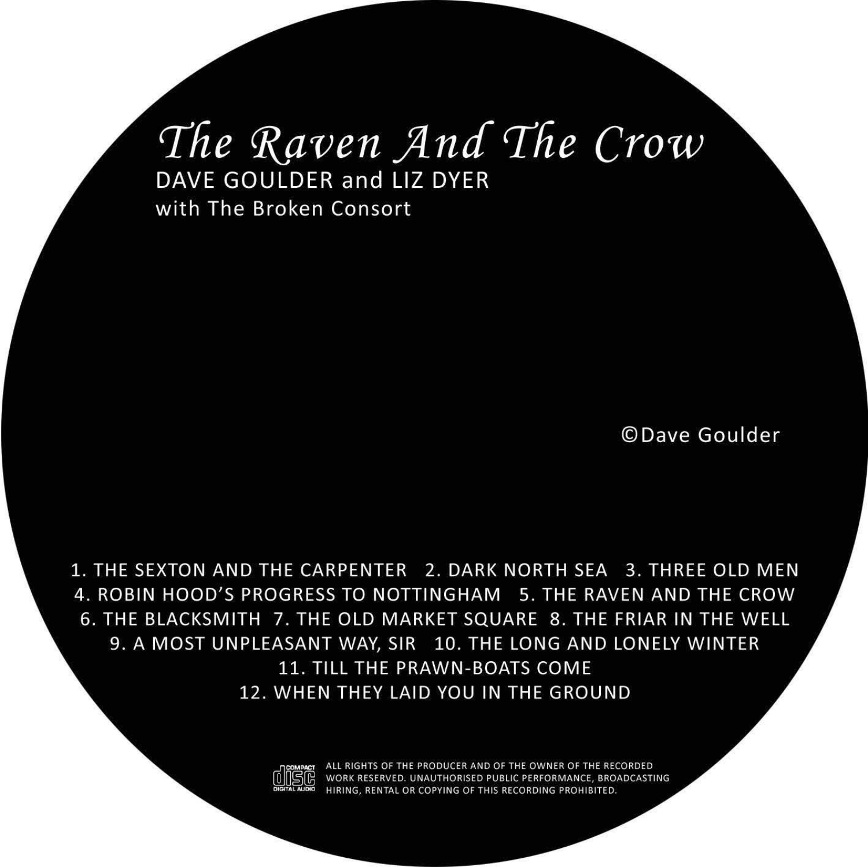### The Raven And The Crow DAVE GOULDER and LIZ DYER with The Broken Consort

©Dave Goulder

1. THE SEXTON AND THE CARPENTER 2. DARK NORTH SEA 3. THREE OLD MEN 4. ROBIN HOOD'S PROGRESS TO NOTTINGHAM 5. THE RAVEN AND THE CROW 6. THE BLACKSMITH 7. THE OLD MARKET SOUARE 8. THE FRIAR IN THE WELL 9. A MOST UNPLEASANT WAY, SIR 10. THE LONG AND LONELY WINTER **11. TILL THE PRAWN-BOATS COME** 12. WHEN THEY LAID YOU IN THE GROUND

ALL RIGHTS OF THE PRODUCER AND OF THE OWNER OF THE RECORDED WORK RESERVED, UNAUTHORISED PUBLIC PERFORMANCE, BROADCASTING HIRING, RENTAL OR COPYING OF THIS RECORDING PROHIBITED